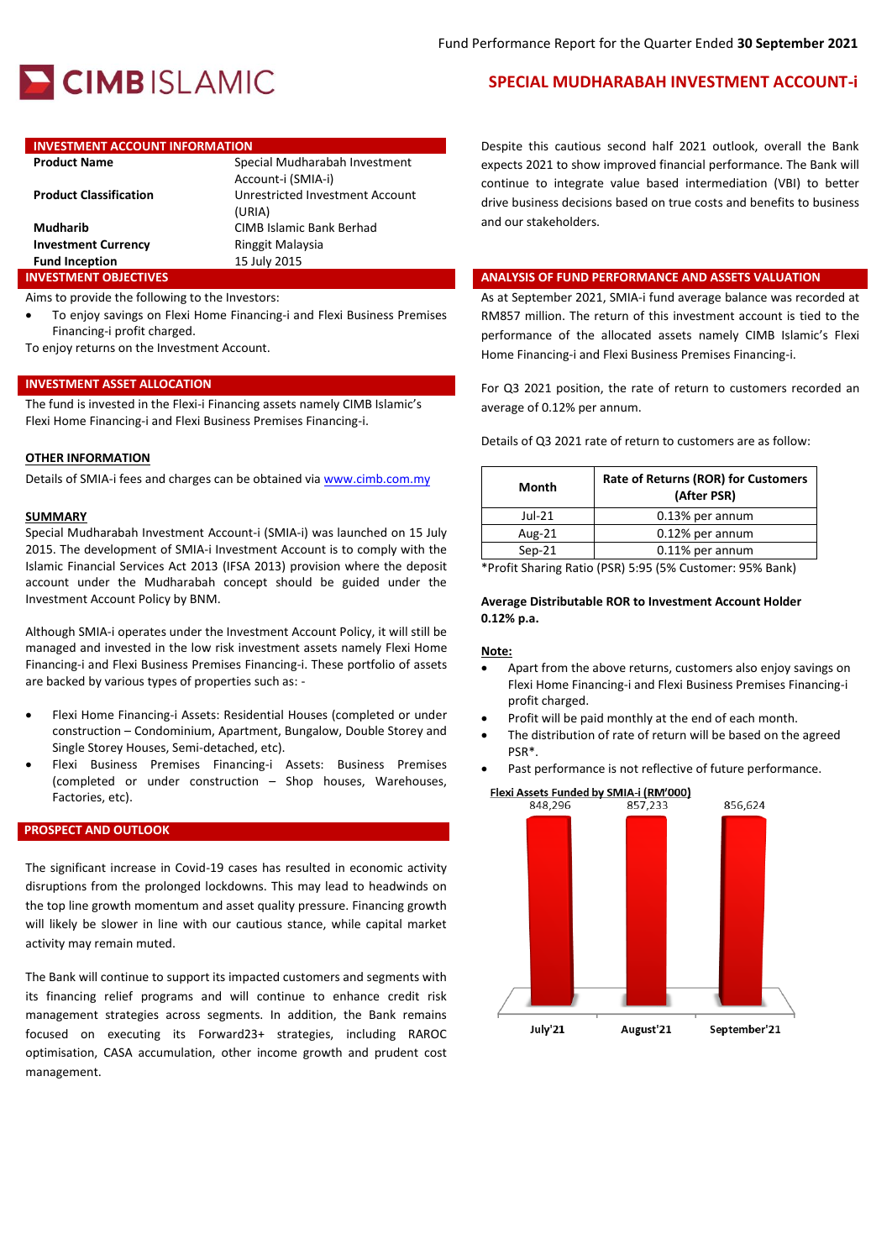

# **INVESTMENT ACCOUNT INFORMATION**

| <b>Product Name</b>           | Special Mudharabah Investment   |
|-------------------------------|---------------------------------|
|                               | Account-i (SMIA-i)              |
| <b>Product Classification</b> | Unrestricted Investment Account |
|                               | (URIA)                          |
| <b>Mudharib</b>               | CIMB Islamic Bank Berhad        |
| <b>Investment Currency</b>    | Ringgit Malaysia                |
| <b>Fund Inception</b>         | 15 July 2015                    |
| <b>INVESTMENT OBJECTIVES</b>  |                                 |

Aims to provide the following to the Investors:

 To enjoy savings on Flexi Home Financing-i and Flexi Business Premises Financing-i profit charged.

To enjoy returns on the Investment Account.

#### **INVESTMENT ASSET ALLOCATION**

The fund is invested in the Flexi-i Financing assets namely CIMB Islamic's Flexi Home Financing-i and Flexi Business Premises Financing-i.

#### **OTHER INFORMATION**

Details of SMIA-i fees and charges can be obtained vi[a www.cimb.com.my](http://www.cimb.com.my/)

#### **SUMMARY**

Special Mudharabah Investment Account-i (SMIA-i) was launched on 15 July 2015. The development of SMIA-i Investment Account is to comply with the Islamic Financial Services Act 2013 (IFSA 2013) provision where the deposit account under the Mudharabah concept should be guided under the Investment Account Policy by BNM.

Although SMIA-i operates under the Investment Account Policy, it will still be managed and invested in the low risk investment assets namely Flexi Home Financing-i and Flexi Business Premises Financing-i. These portfolio of assets are backed by various types of properties such as: -

- Flexi Home Financing-i Assets: Residential Houses (completed or under construction – Condominium, Apartment, Bungalow, Double Storey and Single Storey Houses, Semi-detached, etc).
- Flexi Business Premises Financing-i Assets: Business Premises (completed or under construction – Shop houses, Warehouses, Factories, etc).

#### **PROSPECT AND OUTLOOK**

The significant increase in Covid-19 cases has resulted in economic activity disruptions from the prolonged lockdowns. This may lead to headwinds on the top line growth momentum and asset quality pressure. Financing growth will likely be slower in line with our cautious stance, while capital market activity may remain muted.

The Bank will continue to support its impacted customers and segments with its financing relief programs and will continue to enhance credit risk management strategies across segments. In addition, the Bank remains focused on executing its Forward23+ strategies, including RAROC optimisation, CASA accumulation, other income growth and prudent cost management.

## **SPECIAL MUDHARABAH INVESTMENT ACCOUNT-i**

Despite this cautious second half 2021 outlook, overall the Bank expects 2021 to show improved financial performance. The Bank will continue to integrate value based intermediation (VBI) to better drive business decisions based on true costs and benefits to business and our stakeholders.

### **INALYSIS OF FUND PERFORMANCE AND ASSETS VALUATION**

As at September 2021, SMIA-i fund average balance was recorded at RM857 million. The return of this investment account is tied to the performance of the allocated assets namely CIMB Islamic's Flexi Home Financing-i and Flexi Business Premises Financing-i.

For Q3 2021 position, the rate of return to customers recorded an average of 0.12% per annum.

Details of Q3 2021 rate of return to customers are as follow:

| Month    | <b>Rate of Returns (ROR) for Customers</b><br>(After PSR) |
|----------|-----------------------------------------------------------|
| $Jul-21$ | 0.13% per annum                                           |
| Aug-21   | 0.12% per annum                                           |
| $Sep-21$ | 0.11% per annum                                           |

\*Profit Sharing Ratio (PSR) 5:95 (5% Customer: 95% Bank)

#### **Average Distributable ROR to Investment Account Holder 0.12% p.a.**

#### **Note:**

- Apart from the above returns, customers also enjoy savings on Flexi Home Financing-i and Flexi Business Premises Financing-i profit charged.
- Profit will be paid monthly at the end of each month.
- The distribution of rate of return will be based on the agreed PSR\*.
- Past performance is not reflective of future performance.